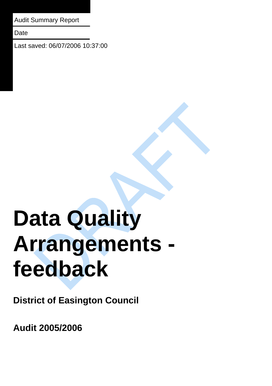Audit Summary Report

**Date** 

Last saved: 06/07/2006 10:37:00

# **Data Quality Arrangements feedback**

**District of Easington Council** 

**Audit 2005/2006**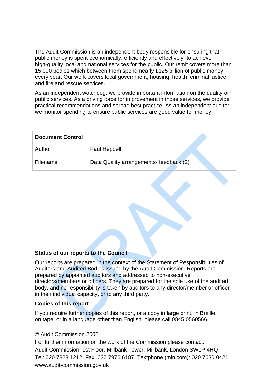The Audit Commission is an independent body responsible for ensuring that public money is spent economically, efficiently and effectively, to achieve high-quality local and national services for the public. Our remit covers more than 15,000 bodies which between them spend nearly £125 billion of public money every year. Our work covers local government, housing, health, criminal justice and fire and rescue services.

As an independent watchdog, we provide important information on the quality of public services. As a driving force for improvement in those services, we provide practical recommendations and spread best practice. As an independent auditor, we monitor spending to ensure public services are good value for money.

| <b>Document Control</b> |                                         |
|-------------------------|-----------------------------------------|
| Author                  | Paul Heppell                            |
| Filename                | Data Quality arrangements- feedback (2) |

### **Status of our reports to the Council**

Our reports are prepared in the context of the Statement of Responsibilities of Auditors and Audited Bodies issued by the Audit Commission. Reports are prepared by appointed auditors and addressed to non-executive directors/members or officers. They are prepared for the sole use of the audited body, and no responsibility is taken by auditors to any director/member or officer in their individual capacity, or to any third party.

### **Copies of this report**

If you require further copies of this report, or a copy in large print, in Braille, on tape, or in a language other than English, please call 0845 0560566.

### © Audit Commission 2005

For further information on the work of the Commission please contact: Audit Commission, 1st Floor, Millbank Tower, Millbank, London SW1P 4HQ Tel: 020 7828 1212 Fax: 020 7976 6187 Textphone (minicom): 020 7630 0421 www.audit-commission.gov.uk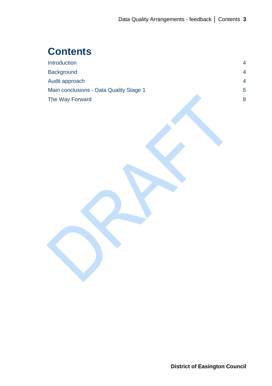# **Contents**

| Introduction                            | 4  |
|-----------------------------------------|----|
| <b>Background</b>                       | 4  |
| Audit approach                          | 4  |
| Main conclusions - Data Quality Stage 1 | 5. |
| The Way Forward                         | 8  |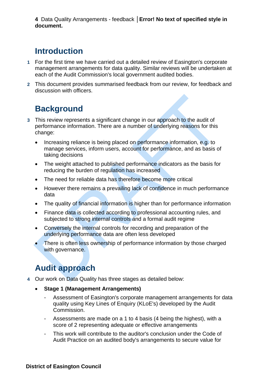4 Data Quality Arrangements - feedback | Error! No text of specified style in **document.** 

## **Introduction**

- **1** For the first time we have carried out a detailed review of Easington's corporate management arrangements for data quality. Similar reviews will be undertaken at each of the Audit Commission's local government audited bodies.
- **2** This document provides summarised feedback from our review, for feedback and discussion with officers.

# **Background**

- **3** This review represents a significant change in our approach to the audit of performance information. There are a number of underlying reasons for this change:
	- Increasing reliance is being placed on performance information, e.g. to manage services, inform users, account for performance, and as basis of taking decisions
	- The weight attached to published performance indicators as the basis for reducing the burden of regulation has increased
	- The need for reliable data has therefore become more critical
	- However there remains a prevailing lack of confidence in much performance data
	- The quality of financial information is higher than for performance information
	- Finance data is collected according to professional accounting rules, and subjected to strong internal controls and a formal audit regime
	- Conversely the internal controls for recording and preparation of the underlying performance data are often less developed
	- $\bullet$  There is often less ownership of performance information by those charged with governance.

# **Audit approach**

- **4** Our work on Data Quality has three stages as detailed below:
	- **Stage 1 (Management Arrangements)** 
		- Assessment of Easington's corporate management arrangements for data quality using Key Lines of Enquiry (KLoE's) developed by the Audit Commission.
		- Assessments are made on a 1 to 4 basis (4 being the highest), with a score of 2 representing adequate or effective arrangements
		- This work will contribute to the auditor's conclusion under the Code of Audit Practice on an audited body's arrangements to secure value for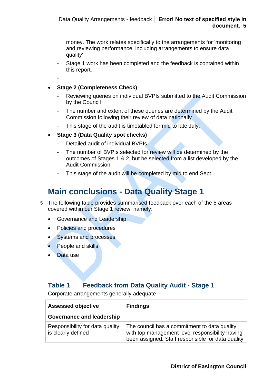money. The work relates specifically to the arrangements for 'monitoring and reviewing performance, including arrangements to ensure data quality'

- Stage 1 work has been completed and the feedback is contained within this report.
- -

## **Stage 2 (Completeness Check)**

- Reviewing queries on individual BVPIs submitted to the Audit Commission by the Council
- The number and extent of these queries are determined by the Audit Commission following their review of data nationally
- This stage of the audit is timetabled for mid to late July.
- **Stage 3 (Data Quality spot checks)** 
	- Detailed audit of individual BVPIs
	- The number of BVPIs selected for review will be determined by the outcomes of Stages 1 & 2, but be selected from a list developed by the Audit Commission
	- This stage of the audit will be completed by mid to end Sept.

# **Main conclusions - Data Quality Stage 1**

- **5** The following table provides summarised feedback over each of the 5 areas covered within our Stage 1 review, namely:
	- Governance and Leadership
	- Policies and procedures
	- Systems and processes
	- People and skills
	- Data use

## **Table 1 Feedback from Data Quality Audit - Stage 1**

Corporate arrangements generally adequate

| <b>Assessed objective</b>                             | <b>Findings</b>                                                                                                                                      |
|-------------------------------------------------------|------------------------------------------------------------------------------------------------------------------------------------------------------|
| <b>Governance and leadership</b>                      |                                                                                                                                                      |
| Responsibility for data quality<br>is clearly defined | The council has a commitment to data quality<br>with top management level responsibility having<br>been assigned. Staff responsible for data quality |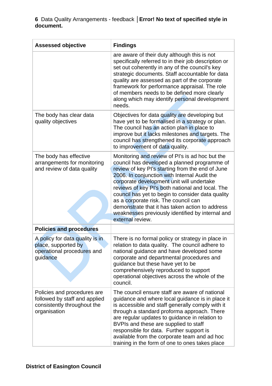**6** Data Quality Arrangements - feedback | Error! No text of specified style in **document.** 

| <b>Assessed objective</b>                                                                                   | <b>Findings</b>                                                                                                                                                                                                                                                                                                                                                                                                                                                                                                              |
|-------------------------------------------------------------------------------------------------------------|------------------------------------------------------------------------------------------------------------------------------------------------------------------------------------------------------------------------------------------------------------------------------------------------------------------------------------------------------------------------------------------------------------------------------------------------------------------------------------------------------------------------------|
|                                                                                                             | are aware of their duty although this is not<br>specifically referred to in their job description or<br>set out coherently in any of the council's key<br>strategic documents. Staff accountable for data<br>quality are assessed as part of the corporate<br>framework for performance appraisal. The role<br>of members needs to be defined more clearly<br>along which may identify personal development<br>needs.                                                                                                        |
| The body has clear data<br>quality objectives                                                               | Objectives for data quality are developing but<br>have yet to be formalised in a strategy or plan.<br>The council has an action plan in place to<br>improve but it lacks milestones and targets. The<br>council has strengthened its corporate approach<br>to improvement of data quality.                                                                                                                                                                                                                                   |
| The body has effective<br>arrangements for monitoring<br>and review of data quality                         | Monitoring and review of PI's is ad hoc but the<br>council has developed a planned programme of<br>review of key PI's starting from the end of June<br>2006. In conjunction with Internal Audit the<br>corporate development unit will undertake<br>reviews of key PI's both national and local. The<br>council has yet to begin to consider data quality<br>as a corporate risk. The council can<br>demonstrate that it has taken action to address<br>weaknesses previously identified by internal and<br>external review. |
| <b>Policies and procedures</b>                                                                              |                                                                                                                                                                                                                                                                                                                                                                                                                                                                                                                              |
| A policy for data quality is in<br>place, supported by<br>operational procedures and<br>guidance            | There is no formal policy or strategy in place in<br>relation to data quality. The council adhere to<br>national guidance and have developed some<br>corporate and departmental procedures and<br>guidance but these have yet to be<br>comprehensively reproduced to support<br>operational objectives across the whole of the<br>council.                                                                                                                                                                                   |
| Policies and procedures are<br>followed by staff and applied<br>consistently throughout the<br>organisation | The council ensure staff are aware of national<br>guidance and where local guidance is in place it<br>is accessible and staff generally comply with it<br>through a standard proforma approach. There<br>are regular updates to guidance in relation to<br>BVPIs and these are supplied to staff<br>responsible for data. Further support is<br>available from the corporate team and ad hoc<br>training in the form of one to ones takes place                                                                              |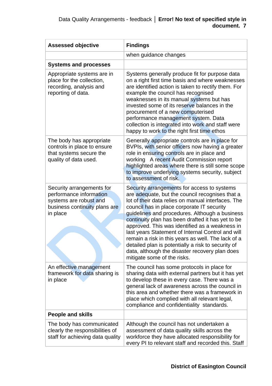| <b>Assessed objective</b>                                                                                                   | <b>Findings</b>                                                                                                                                                                                                                                                                                                                                                                                                                                                                                                                                                                                               |
|-----------------------------------------------------------------------------------------------------------------------------|---------------------------------------------------------------------------------------------------------------------------------------------------------------------------------------------------------------------------------------------------------------------------------------------------------------------------------------------------------------------------------------------------------------------------------------------------------------------------------------------------------------------------------------------------------------------------------------------------------------|
|                                                                                                                             | when guidance changes                                                                                                                                                                                                                                                                                                                                                                                                                                                                                                                                                                                         |
| <b>Systems and processes</b>                                                                                                |                                                                                                                                                                                                                                                                                                                                                                                                                                                                                                                                                                                                               |
| Appropriate systems are in<br>place for the collection,<br>recording, analysis and<br>reporting of data.                    | Systems generally produce fit for purpose data<br>on a right first time basis and where weaknesses<br>are identified action is taken to rectify them. For<br>example the council has recognised<br>weaknesses in its manual systems but has<br>invested some of its reserve balances in the<br>procurement of a new computerised<br>performance management system. Data<br>collection is integrated into work and staff were<br>happy to work to the right first time ethos                                                                                                                                   |
| The body has appropriate<br>controls in place to ensure<br>that systems secure the<br>quality of data used.                 | Generally appropriate controls are in place for<br>BVPIs, with senior officers now having a greater<br>role in ensuring controls are in place and<br>working A recent Audit Commission report<br>highlighted areas where there is still some scope<br>to improve underlying systems security, subject<br>to assessment of risk.                                                                                                                                                                                                                                                                               |
| Security arrangements for<br>performance information<br>systems are robust and<br>business continuity plans are<br>in place | Security arrangements for access to systems<br>are adequate, but the council recognises that a<br>lot of their data relies on manual interfaces. The<br>council has in place corporate IT security<br>guidelines and procedures. Although a business<br>continuity plan has been drafted it has yet to be<br>approved. This was identified as a weakness in<br>last years Statement of Internal Control and will<br>remain a risk in this years as well. The lack of a<br>detailed plan is potentially a risk to security of<br>data, although the disaster recovery plan does<br>mitigate some of the risks. |
| An effective management<br>framework for data sharing is<br>in place                                                        | The council has some protocols in place for<br>sharing data with external partners but it has yet<br>to develop these in every case. There was a<br>general lack of awareness across the council in<br>this area and whether there was a framework in<br>place which complied with all relevant legal,<br>compliance and confidentiality standards.                                                                                                                                                                                                                                                           |
| <b>People and skills</b>                                                                                                    |                                                                                                                                                                                                                                                                                                                                                                                                                                                                                                                                                                                                               |
| The body has communicated<br>clearly the responsibilities of<br>staff for achieving data quality                            | Although the council has not undertaken a<br>assessment of data quality skills across the<br>workforce they have allocated responsibility for<br>every PI to relevant staff and recorded this. Staff                                                                                                                                                                                                                                                                                                                                                                                                          |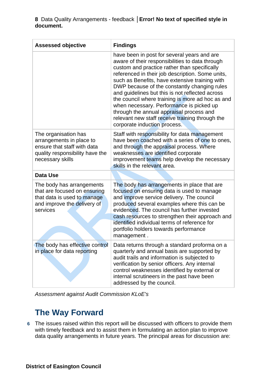## **8** Data Quality Arrangements - feedback | Error! No text of specified style in **document.**

| <b>Assessed objective</b>                                                                                                              | <b>Findings</b>                                                                                                                                                                                                                                                                                                                                                                                                                                                                                                                                                                        |
|----------------------------------------------------------------------------------------------------------------------------------------|----------------------------------------------------------------------------------------------------------------------------------------------------------------------------------------------------------------------------------------------------------------------------------------------------------------------------------------------------------------------------------------------------------------------------------------------------------------------------------------------------------------------------------------------------------------------------------------|
|                                                                                                                                        | have been in post for several years and are<br>aware of their responsibilities to data through<br>custom and practice rather than specifically<br>referenced in their job description. Some units,<br>such as Benefits, have extensive training with<br>DWP because of the constantly changing rules<br>and guidelines but this is not reflected across<br>the council where training is more ad hoc as and<br>when necessary. Performance is picked up<br>through the annual appraisal process and<br>relevant new staff receive training through the<br>corporate induction process. |
| The organisation has<br>arrangements in place to<br>ensure that staff with data<br>quality responsibility have the<br>necessary skills | Staff with responsibility for data management<br>have been coached with a series of one to ones,<br>and through the appraisal process. Where<br>weaknesses are identified corporate<br>improvement teams help develop the necessary<br>skills in the relevant area.                                                                                                                                                                                                                                                                                                                    |
| <b>Data Use</b>                                                                                                                        |                                                                                                                                                                                                                                                                                                                                                                                                                                                                                                                                                                                        |
| The body has arrangements<br>that are focused on ensuring<br>that data is used to manage<br>and improve the delivery of<br>services    | The body has arrangements in place that are<br>focused on ensuring data is used to manage<br>and improve service delivery. The council<br>produced several examples where this can be<br>evidenced. The council has further invested<br>cash resources to strengthen their approach and<br>identified individual terms of reference for<br>portfolio holders towards performance<br>management.                                                                                                                                                                                        |
| in place for data reporting                                                                                                            | The body has effective control   Data returns through a standard proforma on a<br>quarterly and annual basis are supported by<br>audit trails and information is subjected to<br>verification by senior officers. Any internal<br>control weaknesses identified by external or<br>internal scrutineers in the past have been<br>addressed by the council.                                                                                                                                                                                                                              |

*Assessment against Audit Commission KLoE's* 

# **The Way Forward**

The issues raised within this report will be discussed with officers to provide them **6** with timely feedback and to assist them in formulating an action plan to improve data quality arrangements in future years. The principal areas for discussion are: